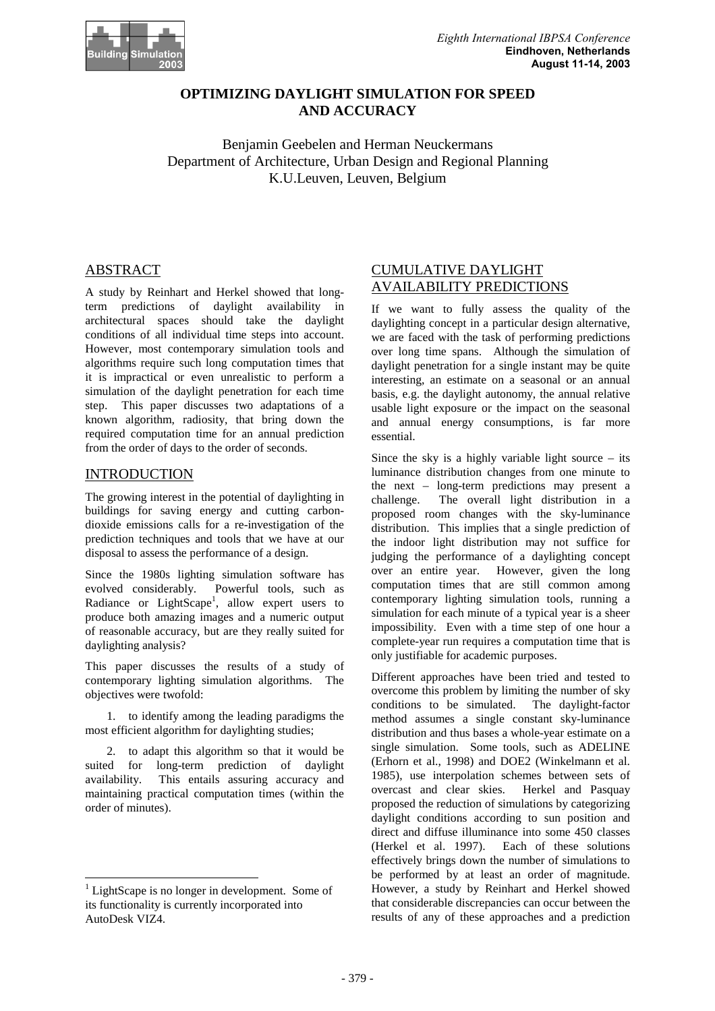

# **OPTIMIZING DAYLIGHT SIMULATION FOR SPEED AND ACCURACY**

Benjamin Geebelen and Herman Neuckermans Department of Architecture, Urban Design and Regional Planning K.U.Leuven, Leuven, Belgium

# ABSTRACT

A study by Reinhart and Herkel showed that longterm predictions of daylight availability in architectural spaces should take the daylight conditions of all individual time steps into accoun t. However, most contemporary simulation tools and algorithms require such long computation times that it is impractical or even unrealistic to perform a simulation of the daylight penetration for each times step. This paper discusses two adaptations of a known algorithm, radiosity, that bring down the required computation time for an annual prediction from the order of days to the order of seconds.

## INTRODUCTION

The growing interest in the potential of daylight in gin buildings for saving energy and cutting carbondioxide emissions calls for a re-investigation of t he prediction techniques and tools that we have at our disposal to assess the performance of a design.

Since the 1980s lighting simulation software has evolved considerably. Powerful tools, such as Radiance or LightScape<sup>1</sup>, allow expert users to produce both amazing images and a numeric output of reasonable accuracy, but are they really suited for daylighting analysis?

This paper discusses the results of a study of contemporary lighting simulation algorithms. The objectives were twofold:

1. to identify among the leading paradigms the mostefficientalgorithm for daylighting studies;

2. to adapt this algorithm so that it would be suited for long-term prediction of daylight availability. This entails assuring accuracy and maintaining practical computation times (within the order of minutes).

֘֒

# **CUMULATIVEDAYLIGHT** AVAILABILITY PREDICTIONS

If we want to fully assess the quality of the daylighting concept in a particular designal ternat ive, we are faced with the task of performing prediction s over long time spans. Although the simulation of daylight penetration for a single instant may be qu ite interesting, an estimate on a seasonal or an annual basis, e.g. the daylight autonomy, the annual relat ive usable light exposure or the impact on the seasonal and annual energy consumptions, is far more essential.

Since the sky is a highly variable light source  $-i$  ts luminance distribution changes from one minute to the next – long-term predictions may present a challenge. The overall light distribution in a proposed room changes with the sky-luminance distribution. This implies that a single predictio nof the indoor light distribution may not suffice for judging the performance of a daylighting concept over an entire year. However, given the long computation times that are still common among contemporary lighting simulation tools, running a simulation for each minute of a typical year is a solution of the rest seems that impossibility. Even with a time step of one hour a complete-year run requires a computation time that is only justifiable for academic purposes.

Different approaches have been tried and tested to overcome this problem by limiting the number of sky conditions to be simulated. The daylight-factor method assumes a single constant sky-luminance distribution and thus bases a whole-year estimated a na single simulation. Some tools, such as ADELINE (Erhorn et al., 1998) and DOE2 (Winkelmann et al. 1985), use interpolation schemes between sets of overcast and clear skies. Herkel and Pasquay proposed the reduction of simulations by categorizi ng daylight conditions according to sun position and direct and diffuse illuminance into some 450 classe s (Herkel et al. 1997). Each of these solutions effectively brings down the number of simulations to o be performed by at least an order of magnitude. However, a study by Reinhart and Herkel showed that considerable discrepancies can occur between t he results of any of these approaches and a prediction

<sup>&</sup>lt;sup>1</sup>LightScapeisnolongerindevelopment.Someof its functionality is currently incorporated into AutoDesk VIZ4.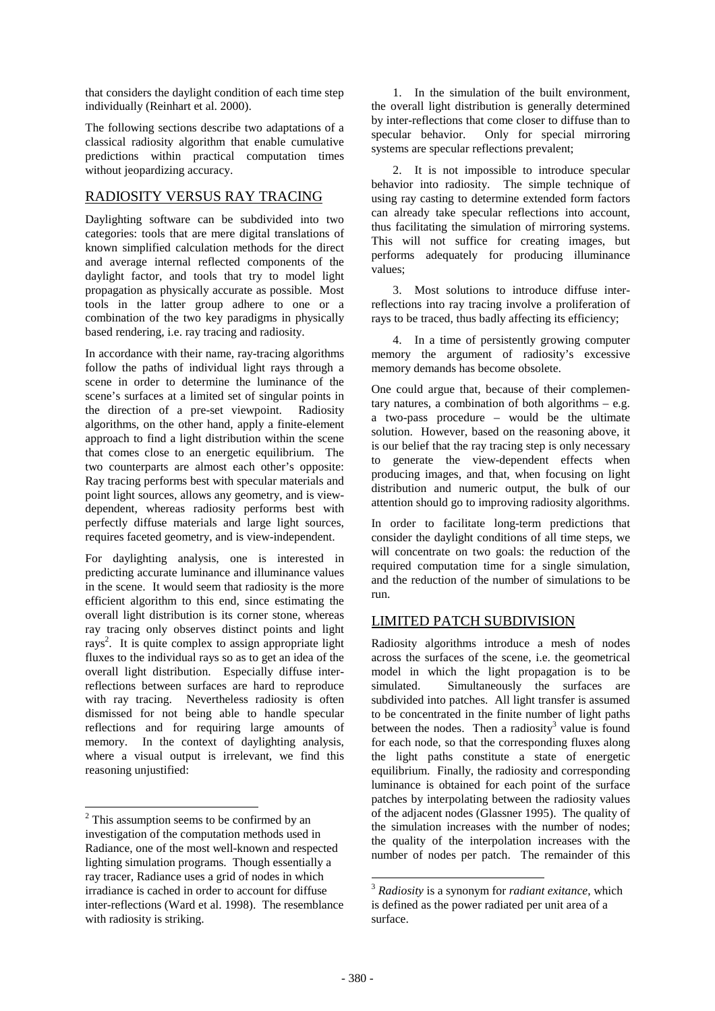that considers the daylight condition of each time step individually (Reinhartetal. 2000).

The following sections describe two adaptations of a  $classical\; radiosity\; algorithm\; that\; enable\; cumulative\; to\; a\; to\; a\; to\; a\; to\; a\; to\; a\; to\; a\; to\; a\; to\; a\; to\; a\; to\; a\; to\; a\; to\; a\; to\; a\; to\; a\; to\; a\; to\; a\; to\; a\; to\; a\; to\; a\; to\; a\; to\; a\; to\; a\; to\; a\; to\; a\; to\; a\; to\; a\; to\; a\; to\; a\; to\; a\; to\; a\; to\; a\; to\; a\; to\; a\; to\$ predictions within practical computation times without jeopardizing accuracy.

## RADIOSITY VERSUS RAY TRACING

Daylighting software can be subdivided into two categories: tools that are mere digital translation s of known simplified calculation methods for the direct and average internal reflected components of the daylight factor, and tools that try to model light propagation as physically accurate as possible. Mo st tools in the latter group adhere to one or a combination of the two key paradigms in physically based rendering, i.e. ray tracing and radiosity.

In accordance with their name, ray-tracing algorith ms follow the paths of individual light rays through a scene in order to determine the luminance of the scene's surfaces at a limited set of singular point sin the direction of a pre-set viewpoint. Radiosity algorithms, on the other hand, apply a finite-eleme nt  $approach to find a light distribution within the  $sc$$  ene that comes close to an energetic equilibrium. The two counterparts are almost each other's opposite: Raytracing performs best with specular materials a nd point light sources, allows any geometry, and is vi ewdependent, whereas radiosity performs best with perfectly diffuse materials and large light sources , requires faceted geometry, and is view-independent.

For daylighting analysis, one is interested in predicting accurate luminance and illuminance value s in the scene. It would seem that radiosity is the more efficient algorithm to this end, since estimating t he overall light distribution is its corner stone, whe reas ray tracing only observes distinct points and light rays<sup>2</sup>. It is quite complex to assign appropriate light fluxes to the individual rays so as to get an idea of the overall light distribution. Especially diffuse int erreflections between surfaces are hard to reproduce with ray tracing. Nevertheless radiosity is often dismissed for not being able to handle specular reflections and for requiring large amounts of memory. In the context of daylighting analysis, where a visual output is irrelevant, we find this reasoning unjustified:

֘֒

1. In the simulation of the built environment, the overall light distribution is generally determi ned by inter-reflections that come closer to diffuse the anto specular behavior. Only for special mirroring systems are specular reflections prevalent;

2. It is not impossible to introduce specular behavior into radiosity. The simple technique of using ray casting to determine extended form factor s can already take specular reflections into account, thus facilitating the simulation of mirroring syste ms. This will not suffice for creating images, but performs adequately for producing illuminance values;

3. Most solutions to introduce diffuse interreflections into ray tracing involve a proliferatio nof rays to be traced, thus badly affecting its efficie ncy;

4. In a time of persistently growing computer memory the argument of radiosity's excessive memory demands has become obsolete.

One could argue that, because of their complementary natures, a combination of both algorithms – e. g. a two-pass procedure – would be the ultimate solution. However, based on the reasoning above, i t is our belief that the ray tracing step is only necessary to generate the view-dependent effects when producing images, and that, when focusing on light distribution and numeric output, the bulk of our attention should go to improving radiosity algorith ms.

In order to facilitate long-term predictions that consider the daylight conditions of all time steps, we will concentrate on two goals: the reduction of the required computation time for a single simulation. and the reduction of the number of simulations to b e run.

## LIMITEDPATCHSUBDIVISION

Radiosity algorithms introduce a mesh of nodes across the surfaces of the scene, i.e. the geometri cal model in which the light propagation is to be simulated. Simultaneously the surfaces are subdivided into patches. All light transferisass umed to be concentrated in the finite number of light pa ths between the nodes. Then a radiosity  $3$  value is found for each node, so that the corresponding fluxes alo ng the light paths constitute a state of energetic equilibrium. Finally, the radiosity and correspond ing luminance is obtained for each point of the surface patches by interpolating between the radiosity valu es of the adiacent nodes (Glassner 1995). The quality of the simulation increases with the number of nodes; the quality of the interpolation increases with the number of nodes per patch. The remainder of this

֘֒

<sup>&</sup>lt;sup>2</sup>This assumption seems to be confirmed by an investigation of the computation methods used in Radiance, one of the most well-known and respected lighting simulation programs. Though essentially a ray tracer, Radiance uses a grid of nodes in which irradiance is cached in order to account for diffus e inter-reflections (Ward et al. 1998). The resembla nce with radiosity is striking.

<sup>&</sup>lt;sup>3</sup> *Radiosity* is a synonymfor *radiant exitance*, which is defined as the power radiated per unitarea of a surface.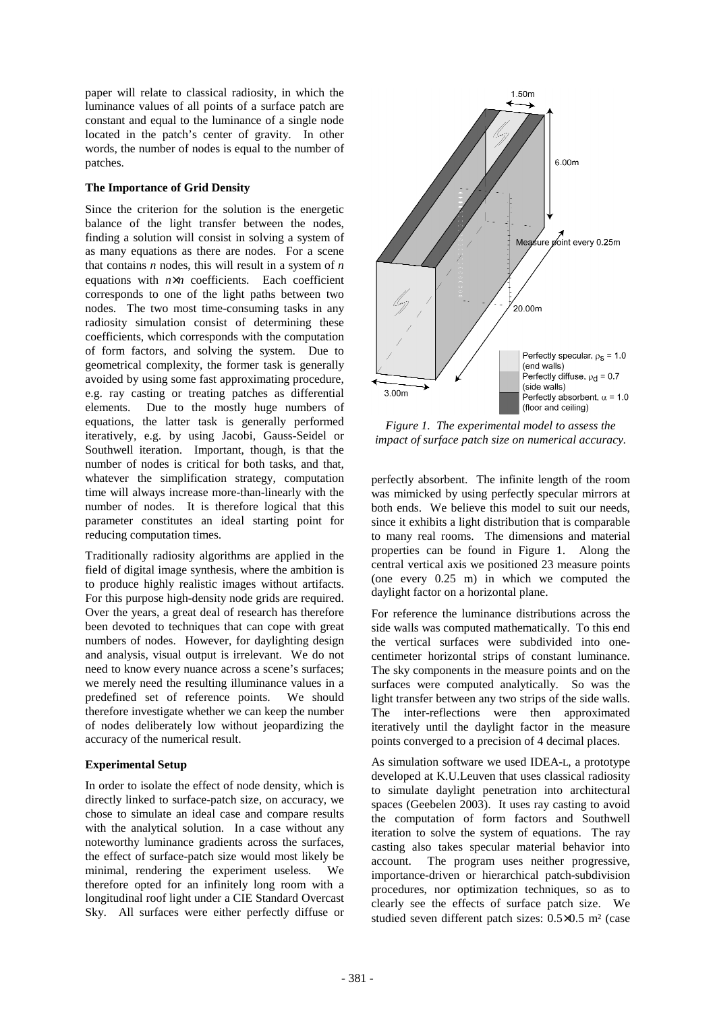paper will relate to classical radiosity, in which the luminance values of all points of a surface patch a re constant and equal to the luminance of a single nod e located in the patch's center of gravity. In other words, the number of nodes is equal to the number of f patches.

### **The Importance of Grid Density**

Since the criterion for the solution is the energet ic balance of the light transfer between the nodes, finding a solution will consist in solving a system of as many equations as there are nodes. For a scene that contains *n* nodes, this will result in a system of *n* equations with *n*×*n* coefficients. Each coefficient corresponds to one of the light paths between two nodes. The two most time-consuming tasks in any radiosity simulation consist of determining these coefficients, which corresponds with the computatio n of form factors, and solving the system. Due to geometrical complexity, the former task is generall y avoided by using some fast approximating procedure, e.g. ray casting or treating patches as differentia l elements. Due to the mostly huge numbers of equations, the latter task is generally performed iteratively, e.g. by using Jacobi, Gauss-Seidel or Southwell iteration. Important, though, is that the e number of nodes is critical for both tasks, and tha t, whatever the simplification strategy, computation time will always increase more-than-linearly with the number of nodes. It is therefore logical that this parameter constitutes an ideal starting point for reducing computation times.

Traditionally radiosity algorithms are applied in t he field of digital images ynthesis, where the ambitio nis to produce highly realistic images without artifact s. For this purpose high-density node grids are requir ed. Over the years, a great deal of research has theref ore been devoted to techniques that can cope with great numbers of nodes. However, for daylighting design and analysis, visual output is irrelevant. We do n ot need to know every nuance across a scene's surfaces ; we merely need the resulting illuminance values in a predefined set of reference points. We should therefore investigate whether we can keep the numbe r of nodes deliberately low without jeopardizing the accuracy of the numerical result.

#### **Experimental Setup**

In order to isolate the effect of node density, which is chis directly linked to surface-patch size, on accuracy, we chose to simulate an ideal case and compare results with the analytical solution. In a case without an y noteworthy luminance gradients across the surfaces, the effect of surface-patch size would most likely be minimal, rendering the experiment useless. We therefore opted for an infinitely long room with a longitudinal roof light under a CIE Standard Overca st Sky. All surfaces were either perfectly diffuse or



*Figure 1. The experimental model to assess the impact of surface patch size on numerical accuracy.*

perfectly absorbent. The infinite length of the ro om was mimicked by using perfectly specular mirrors at both ends. We believe this model to suit our needs , since it exhibits a light distribution that is comp arable to many real rooms. The dimensions and material properties can be found in Figure 1. Along the central vertical axis we positioned 23 measure poin ts (one every 0.25 m) in which we computed the daylight factor on a horizontal plane.

For reference the luminance distributions across the e side walls was computed mathematically. To this en d the vertical surfaces were subdivided into onecentimeter horizontal strips of constant luminance. The sky components in the measure points and on the surfaces were computed analytically. So was the lighttransferbetween any two strips of the side w alls. The inter-reflections were then approximated iteratively until the daylight factor in the measur e points converged to a precision of 4 decimal places

As simulation software we used IDEA-<br>L, a prototype developed at K.U.Leuven that uses classical radiosi ty to simulate daylight penetration into architectural spaces (Geebelen 2003). It uses ray casting to avo id the computation of form factors and Southwell iteration to solve the system of equations. The ra y casting also takes specular material behavior into account. The program uses neither progressive, importance-driven or hierarchical patch-subdivision procedures, nor optimization techniques, so as to clearly see the effects of surface patch size. We studied seven different patch sizes:  $0.5 \times 0.5$  m<sup>2</sup> (case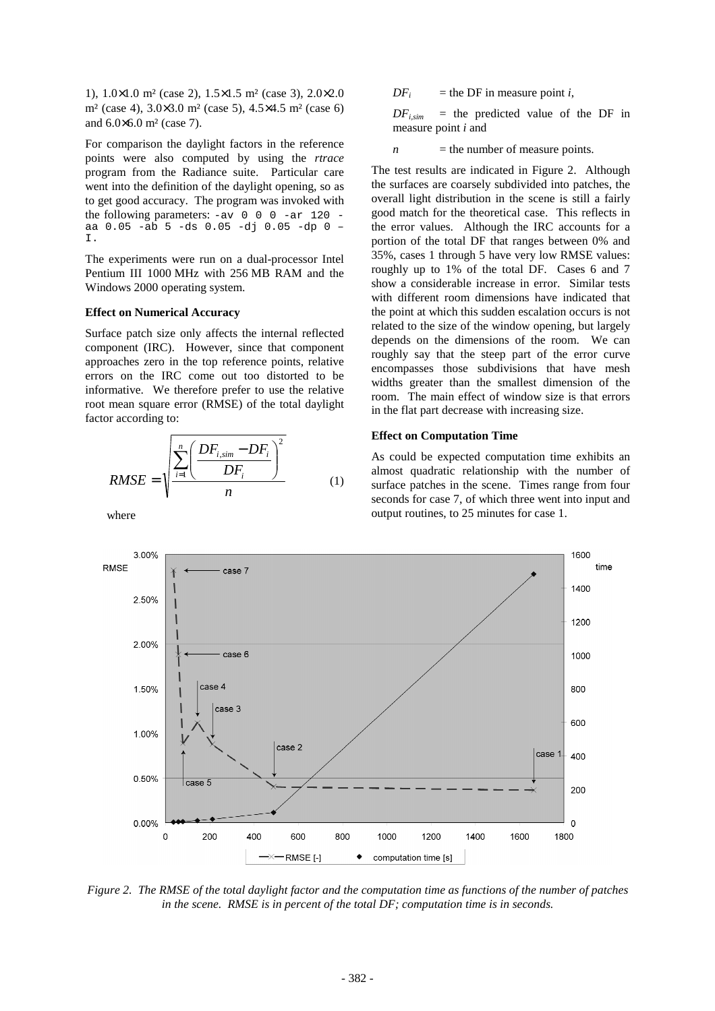1),  $1.0 \times 1.0$  m<sup>2</sup>(case 2),  $1.5 \times 1.5$  m<sup>2</sup>(case 3),  $2.0 \times 2.0$  $m^2$ (case 4), 3.0  $\times$  3.0 m<sup>2</sup>(case 5), 4.5  $\times$  4.5 m<sup>2</sup>(case 6) and  $6.0 \times 6.0$  m<sup>2</sup> (case 7).

For comparison the daylight factors in the referenc  $e$ points were also computed by using the *rtrace* program from the Radiance suite. Particular care went into the definition of the daylight opening, s o as to get good accuracy. The program was invoked with the following parameters:  $-av \space 0 \space 0 \space -ar \space 120$ aa 0.05 -ab 5 -ds 0.05 -dj 0.05 -dp 0 – I.

The experiments were run on a dual-processor Intel Pentium III 1000MHz with 256MB RAM and the Windows 2000 operatings ystem.

### **EffectonNumericalAccuracy**

Surface patch size only affects the internal reflec ted component (IRC). However, since that component approaches zero in the top reference points, relati ve errors on the IRC come out too distorted to be informative. We therefore prefer to use the relati ve root mean square error (RMSE) of the total daylight factor according to:

$$
RMSE = \sqrt{\frac{\sum_{i=1}^{n} \left( \frac{DF_{i,sim} - DF_i}{DF_i} \right)^2}{n}}
$$
 (1)

where

*DF<sup>i</sup>*  $=$ the DF in measure point *i*,

 $DF_{i \, \text{sim}}$  = the predicted value of the DF in measure point *i* and

 $n$  = the number of measure points.

The test results are indicated in Figure 2. Althou gh the surfaces are coarsely subdivided into patches, the overall light distribution in the scene is still a fairly good match for the theoretical case. This reflects in the error values. Although the IRC accounts for a portion of the total DF that ranges between 0% and 35%, cases 1 through 5 have very low RMSE values: roughly up to 1% of the total DF. Cases 6 and 7 show a considerable increase in error. Similar tes ts with different room dimensions have indicated that the point at which this suddenes calation occurs is not related to the size of the window opening, but larg ely depends on the dimensions of the room. We can roughly say that the steep part of the error curve encompasses those subdivisions that have mesh widths greater than the smallest dimension of the room. The main effect of window size is that error s in the flat part decrease with increasing size.

#### **Effect on Computation Time**

As could be expected computation time exhibits an almost quadratic relationship with the number of surface patches in the scene. Times range from fou r seconds for case 7, of which three went into input and output routines, to 25 minutes for case 1.



*Figure 2. The RMSE of the total daylight factor an d the computation time as functions of the number o f patches in the scene. RMSE is in percent of the total DF; computation time is in seconds.*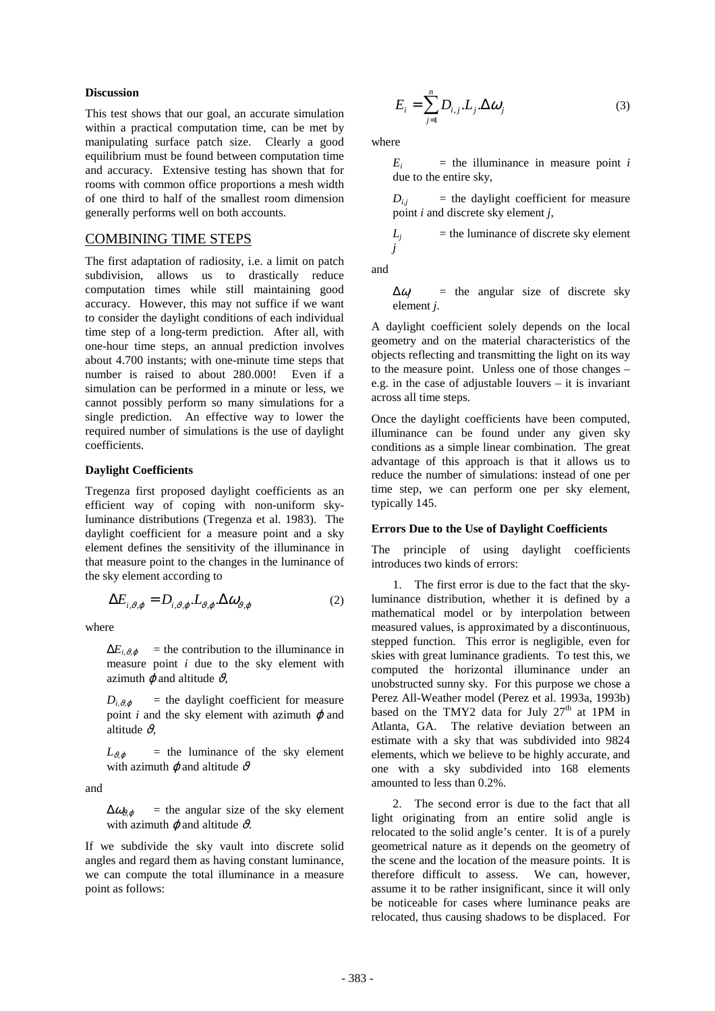#### **Discussion**

This test shows that our goal, an accurate simulati on within a practical computation time, can be met by manipulating surface patch size. Clearly a good equilibrium must be found between computation time and accuracy. Extensive testing has shown that for rooms with common office proportions a mesh width of one third to half of the smallest room dimension generally performs well on both accounts.

## **COMBININGTIMESTEPS**

The first adaptation of radiosity, i.e. a limit on patch subdivision, allows us to drastically reduce computation times while still maintaining good accuracy. However, this may not suffice if we want to consider the daylight conditions of each individ ual time step of a long-term prediction. After all, wi the one-hour time steps, an annual prediction involves about 4.700 instants; with one-minute time steps th at number is raised to about 280.000! Even if a simulation can be performed in a minute or less, we cannot possibly perform so many simulations for a single prediction. An effective way to lower the required number of simulations is the use of daylig ht coefficients.

#### **Daylight Coefficients**

Tregenza first proposed daylight coefficients as an efficient way of coping with non-uniform skyluminance distributions (Tregenza et al. 1983). Th e daylight coefficient for a measure point and a sky element defines the sensitivity of the illuminance in that measure point to the changes in the luminance of the sky element according to

$$
\Delta E_{i,\vartheta,\varphi} = D_{i,\vartheta,\varphi} \cdot L_{\vartheta,\varphi} \cdot \Delta \omega_{\vartheta,\varphi}
$$
 (2)

where

 $\Delta E_{i, \vartheta, \varphi}$  = the contribution to the illuminance in measure point *i* due to the sky element with azimuth  $\varphi$  and altitude  $\vartheta$ ,

 $D_{i, \theta, \phi}$  = the daylight coefficient for measure point  $i$  and the sky element with azimuth  $\varphi$  and altitude  $\vartheta$ ,

 $L_{\theta,\varphi}$  = the luminance of the sky element with azimuth  $\varphi$  and altitude  $\vartheta$ 

and

 $\Delta \omega_{\theta \theta}$  = the angular size of the sky element with azimuth  $\varphi$  and altitude  $\vartheta$ .

If we subdivide the sky vault into discrete solid angles and regard the mashaving constant luminance we can compute the total illuminance in a measure pointasfollows:

$$
E_i = \sum_{j=1}^{n} D_{i,j} \cdot L_j \cdot \Delta \omega_j \tag{3}
$$

where

*Ei*  $i$  = the illuminance in measure point *i* due to the entiresky,

 $D_{i,j}$  = the daylight coefficient for measure point *i* and discretes ky element *j*,

 $L_i$  = the luminance of discrete sky element *j*

and

∆<sup>ω</sup>*<sup>j</sup>* = the angular size of discrete sky element *j*.

A daylight coefficient solely depends on the local geometry and on the material characteristics of the objects reflecting and transmitting the light on it sway to the measure point. Unless one of those changes – e.g. in the case of adjustable louvers – it is inva riant acrossalltimesteps.

Once the daylight coefficients have been computed, illuminance can be found under any given sky conditions as a simple linear combination. The gre at advantage of this approach is that it allows us to reduce the number of simulations: instead of one permittime step, we can perform one per sky element, typically 145.

#### **Errors Due to the Use of Daylight Coefficients**

The principle of using daylight coefficients introduces two kinds of errors:

1. The first error is due to the fact that the skyluminance distribution, whether it is defined by a mathematical model or by interpolation between measured values, is approximated by a discontinuous stepped function. This error is negligible, even f or skies with great luminance gradients. To test this we computed the horizontal illuminance under an unobstructed sunny sky. For this purpose we chose a Perez All-Weather model (Perez et al. 1993a, 1993b) based on the TMY2 data for July 27  $\frac{\text{th}}{\text{at}}$  1PM in Atlanta, GA. The relative deviation between an estimate with a sky that was subdivided into 9824 elements, which we believe to be highly accurate, a nd one with a sky subdivided into 168 elements amounted to less than 0.2%.

2. The second error is due to the fact that all light originating from an entire solid angle is relocated to the solid angle's center. It is of a purely geometrical nature as it depends on the geometry of the scene and the location of the measure points. It is therefore difficult to assess. We can, however, assume it to be rather insignificant, since it will only be noticeable for cases where luminance peaks are relocated, thus causing shadows to be displaced. F or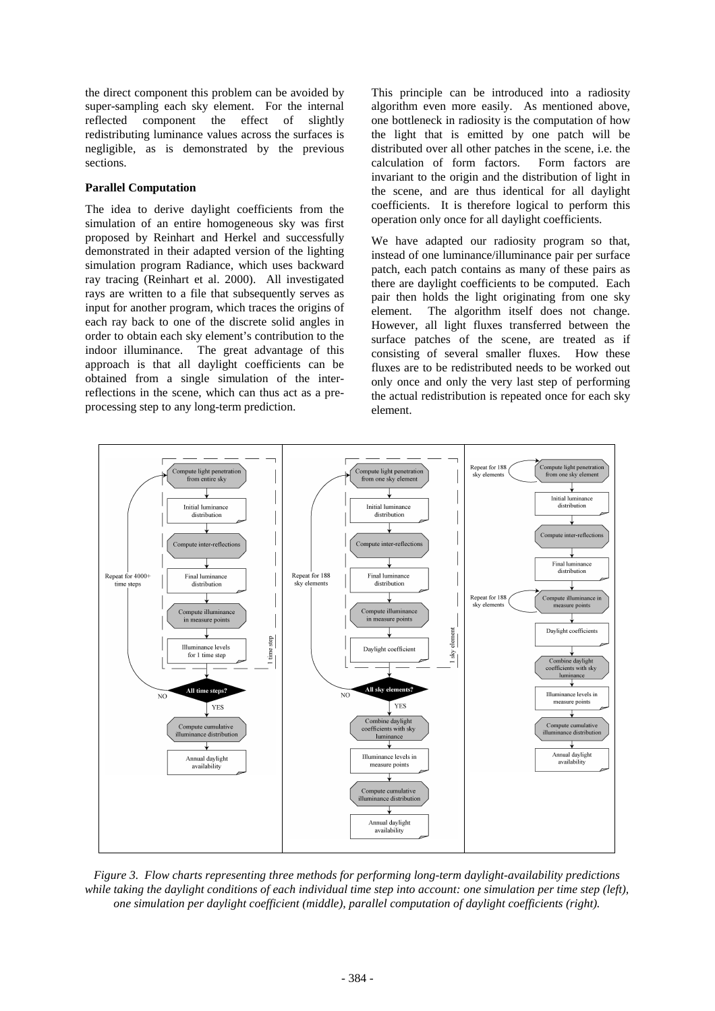the direct component this problem can be avoided by super-sampling each sky element. For the internal reflected component the effect of slightly redistributing luminance values across the surfaces is negligible, as is demonstrated by the previous sections.

### **Parallel Computation**

The idea to derive daylight coefficients from the simulation of an entire homogeneous sky was first proposed by Reinhart and Herkel and successfully demonstrated in their adapted version of the lighti ng simulation program Radiance, which uses backward ray tracing (Reinhart et al. 2000). All investigat ed rays are written to a file that subsequently serves as input for another program, which traces the origins of each ray back to one of the discrete solid angles i n order to obtaine ach sky element's contribution to the indoor illuminance. The great advantage of this approach is that all daylight coefficients can be obtained from a single simulation of the interreflections in the scene, which can thus act as a p reprocessing step to any long-term prediction.

This principle can be introduced into a radiosity algorithm even more easily. As mentioned above, one bottleneck in radiosity is the computation of h ow the light that is emitted by one patch will be distributed over all other patches in the scene, i. e. the calculation of form factors. Form factors are invariant to the origin and the distribution of lig ht in the scene, and are thus identical for all daylight coefficients. It is therefore logical to perform t his operation only once for all daylight coefficients.

We have adapted our radiosity program so that, instead of one luminance/illuminance pair per surfa ce patch, each patch contains as many of these pairs a s there are daylight coefficients to be computed. Ea ch pair then holds the light originating from one sky element. The algorithm itself does not change. However, all light fluxes transferred between the surface patches of the scene, are treated as if consisting of several smaller fluxes. How these fluxes are to be redistributed needs to be worked o ut only once and only the very last step of performing the actual redistribution is repeated once for each sky element.



*Figure 3. Flow charts representing three methods f or performing long-term daylight-availability predi ctions while taking the daylight conditions of each indivi dual time step into account: one simulation per tim e step (left), one simulation per daylight coefficient (middle), p arallel computation of daylight coefficients (right ).*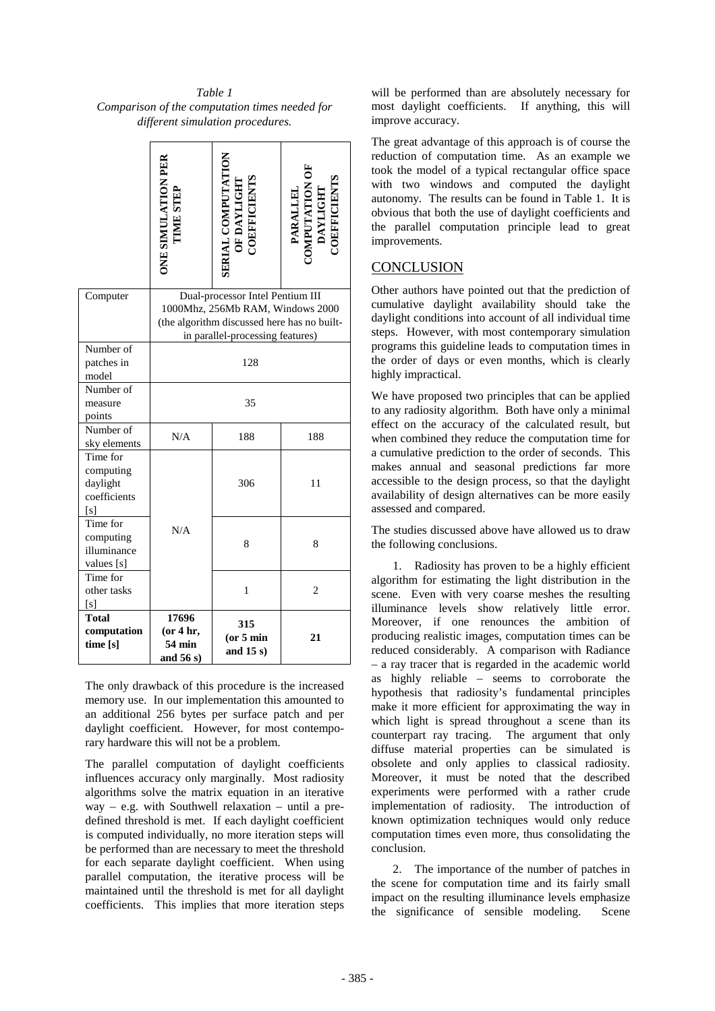*Table 1 Comparison of the computation times needed for different simulation procedures.* 

|                                                         |                                                                                                         | <b>ERIALCOMPUTATIO</b>      | <b>DEFFICIENT</b><br><b>PARALL</b> |
|---------------------------------------------------------|---------------------------------------------------------------------------------------------------------|-----------------------------|------------------------------------|
| Computer                                                | Dual-processorIntelPentiumIII<br>1000Mhz,256MbRAM, Windows2000<br>(thealgorithmdiscussedherehasnobuilt- |                             |                                    |
|                                                         | inparallel-processingfeatures)                                                                          |                             |                                    |
| Numberof<br>patchesin<br>model                          | 128                                                                                                     |                             |                                    |
| Numberof<br>measure<br>points                           | 35                                                                                                      |                             |                                    |
| Numberof<br>skyelements                                 | N/A                                                                                                     | 188                         | 188                                |
| Timefor<br>computing<br>daylight<br>coefficients<br>[s] |                                                                                                         | 306                         | 11                                 |
| Timefor<br>computing<br>illuminance<br>values[s]        | N/A                                                                                                     | 8                           | 8                                  |
| Timefor<br>othertasks<br>[s]                            |                                                                                                         | $\mathbf{1}$                | $\overline{c}$                     |
| <b>Total</b><br>computation<br>time[s]                  | 17696<br>(or4hr,<br>54min<br>and <sub>56s</sub> )                                                       | 315<br>(or 5min<br>and 15s) | 21                                 |

The only drawback of this procedure is the increase d memory use. In our implementation this amounted to an additional 256 bytes per surface patch and per daylight coefficient. However, for most contemporary hardware this will not be a problem.

The parallel computation of daylight coefficients influences accuracy only marginally. Most radiosit y algorithms solve the matrix equation in an iterativ  $\cdot$  e way – e.g. with Southwell relaxation – until a predefined threshold is met. If each daylight coeffic ient is computed individually, no more iteration steps w ill be performed than are necessary to meet the thresho ld for each separate daylight coefficient. When using parallel computation, the iterative process will be maintained until the threshold is met for all dayli ght coefficients. This implies that more iteration ste ps

will be performed than are absolutely necessary for most daylight coefficients. If anything, this will improve accuracy.

The great advantage of this approach is of course the he reduction of computation time. As an example we took the model of a typical rectangular office spac e with two windows and computed the daylight autonomy. The results can be found in Table 1. It is obvious that both the use of daylight coefficients and the parallel computation principle lead to great improvements.

# **CONCLUSION**

Other authors have pointed out that the prediction of cumulative daylight availability should take the daylight conditions into account of all individual time steps. However, with most contemporary simulation programs this guideline leads to computation times in the order of days or even months, which is clearly highly impractical.

We have proposed two principles that can be applied to any radiosity algorithm. Both have only a minimidal and radiosity algorithm. effect on the accuracy of the calculated result, bu when combined they reduce the computation time for a cumulative prediction to the order of seconds. T his makes annual and seasonal predictions far more accessible to the design process, so that the dayli ght availability of design alternatives can be more eas ily assessedand compared.

The studies discussed above have allowed us to draw the following conclusions.

1. Radiosity has proven to be a highly efficient algorithm for estimating the light distribution in the scene. Even with very coarse meshes the resulting illuminance levels show relatively little error. Moreover, if one renounces the ambition of producing realistic images, computation times can b e reduced considerably. A comparison with Radiance – a ray tracer that is regarded in the academic wor ld as highly reliable – seems to corroborate the hypothesis that radiosity's fundamental principles make it more efficient for approximating the way in which light is spread throughout a scene than its counterpart ray tracing. The argument that only diffuse material properties can be simulated is obsolete and only applies to classical radiosity. Moreover, it must be noted that the described experiments were performed with a rather crude implementation of radiosity. The introduction of known optimization techniques would only reduce computation times even more, thus consolidating the conclusion.

2. The importance of the number of patches in the scene for computation time and its fairly small impact on the resulting illuminance levels emphasiz e the significance of sensible modeling. Scene